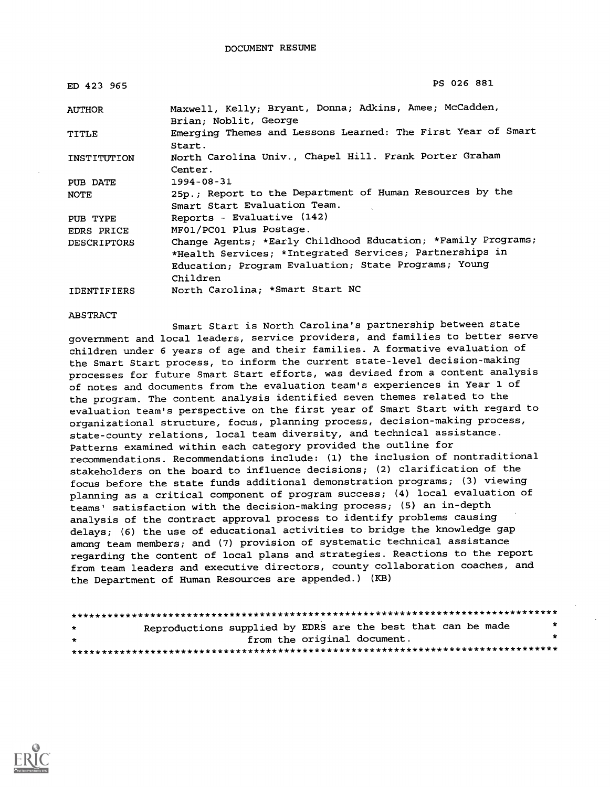| ED 423 965         | PS 026 881                                                                               |
|--------------------|------------------------------------------------------------------------------------------|
| AUTHOR             | Maxwell, Kelly; Bryant, Donna; Adkins, Amee; McCadden,<br>Brian; Noblit, George          |
| TITLE              | Emerging Themes and Lessons Learned: The First Year of Smart<br>Start.                   |
| INSTITUTION        | North Carolina Univ., Chapel Hill. Frank Porter Graham<br>Center.                        |
| PUB DATE           | $1994 - 08 - 31$                                                                         |
| NOTE               | 25p.; Report to the Department of Human Resources by the<br>Smart Start Evaluation Team. |
| PUB TYPE           | Reports - Evaluative (142)                                                               |
| EDRS PRICE         | MF01/PC01 Plus Postage.                                                                  |
| <b>DESCRIPTORS</b> | Change Agents; *Early Childhood Education; *Family Programs;                             |
|                    | *Health Services; *Integrated Services; Partnerships in                                  |
|                    | Education; Program Evaluation; State Programs; Young                                     |
|                    | Children                                                                                 |
| <b>IDENTIFIERS</b> | North Carolina; *Smart Start NC                                                          |

ABSTRACT

Smart Start is North Carolina's partnership between state government and local leaders, service providers, and families to better serve children under 6 years of age and their families. A formative evaluation of the Smart Start process, to inform the current state-level decision-making processes for future Smart Start efforts, was devised from a content analysis of notes and documents from the evaluation team's experiences in Year 1 of the program. The content analysis identified seven themes related to the evaluation team's perspective on the first year of Smart Start with regard to organizational structure, focus, planning process, decision-making process, state-county relations, local team diversity, and technical assistance. Patterns examined within each category provided the outline for recommendations. Recommendations include: (1) the inclusion of nontraditional stakeholders on the board to influence decisions; (2) clarification of the focus before the state funds additional demonstration programs; (3) viewing planning as a critical component of program success; (4) local evaluation of teams' satisfaction with the decision-making process; (5) an in-depth analysis of the contract approval process to identify problems causing delays; (6) the use of educational activities to bridge the knowledge gap among team members; and (7) provision of systematic technical assistance regarding the content of local plans and strategies. Reactions to the report from team leaders and executive directors, county collaboration coaches, and the Department of Human Resources are appended.) (KB)

| $\star$ | Reproductions supplied by EDRS are the best that can be made |                             |  |  |  |  |  | $\star$ |  |
|---------|--------------------------------------------------------------|-----------------------------|--|--|--|--|--|---------|--|
| $\star$ |                                                              | from the original document. |  |  |  |  |  | *       |  |
|         |                                                              |                             |  |  |  |  |  |         |  |

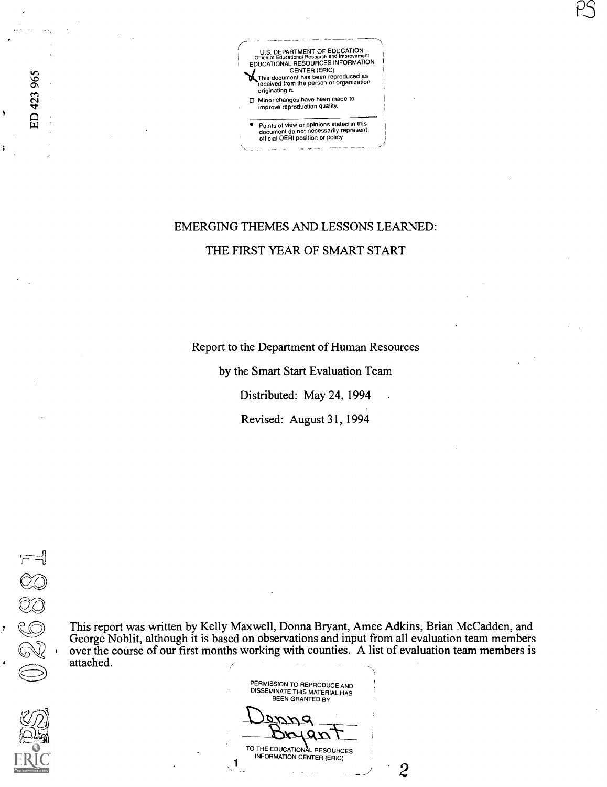

PS

# EMERGING THEMES AND LESSONS LEAMED: THE FIRST YEAR OF SMART START

Report to the Department of Human Resources

by the Smart Start Evaluation Team Distributed: May 24, 1994

Revised: August 31, 1994

Ĵ.

ED 423 965

This report was written by Kelly Maxwell, Donna Bryant, Amee Adkins, Brian McCadden, and George Noblit, although it is based on observations and input from all evaluation team members over the course of our first months working with counties. A list of evaluation team members is attached.

PERMISSION TO REPRODUCE AND DISSEMINATE THIS MATERIAL HAS BEEN GRANTED BY

 $\mu$  $rac{4}{2}$ 

TO THE EDUCATIONAL RESOURCES INFORMATION CENTER (ERIC)

2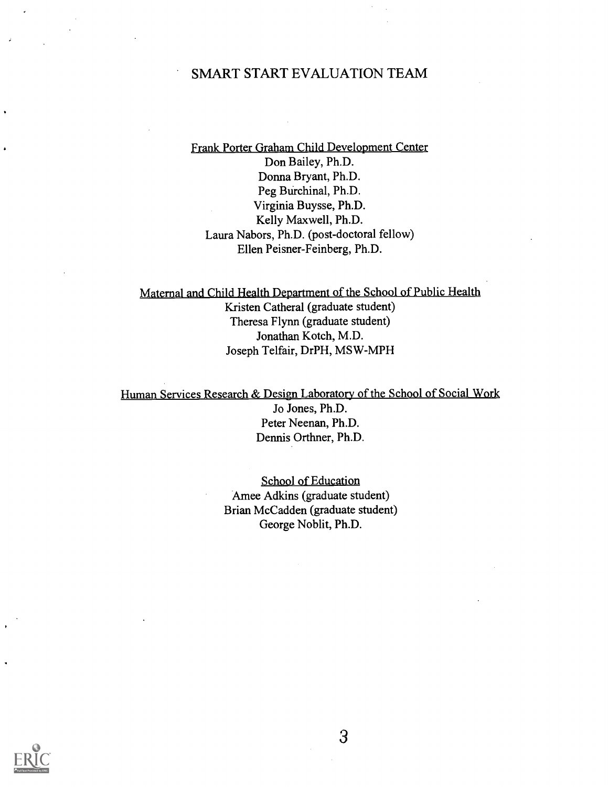### SMART START EVALUATION TEAM

Frank Porter Graham Child Development Center Don Bailey, Ph.D. Donna Bryant, Ph.D. Peg Burchinal, Ph.D. Virginia Buysse, Ph.D. Kelly Maxwell, Ph.D. Laura Nabors, Ph.D. (post-doctoral fellow) Ellen Peisner-Feinberg, Ph.D.

Maternal and Child Health Department of the School of Public Health Kristen Catheral (graduate student) Theresa Flynn (graduate student) Jonathan Kotch, M.D. Joseph Telfair, DrPH, MSW-MPH

Human Services Research & Design Laboratory of the School of Social Work Jo Jones, Ph.D. Peter Neenan, Ph.D. Dennis Orthner, Ph.D.

> School of Education Amee Adkins (graduate student) Brian McCadden (graduate student) George Noblit, Ph.D.

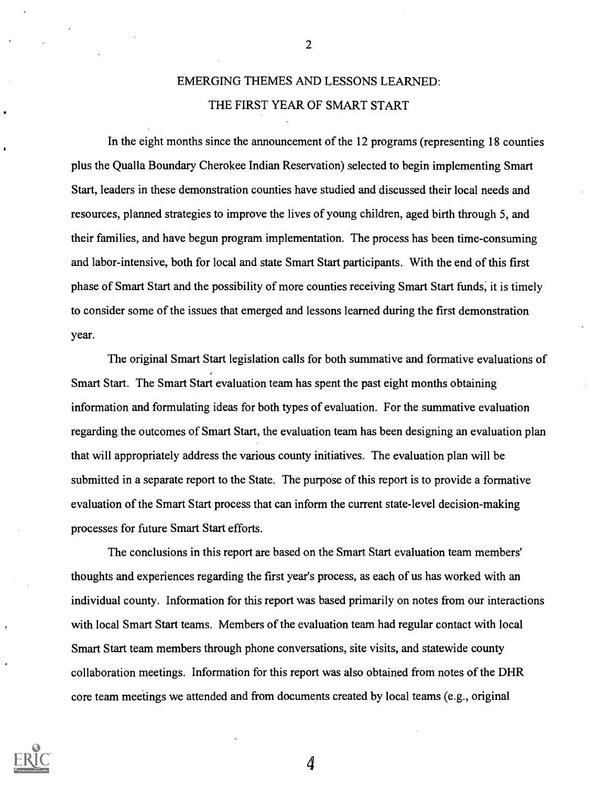## EMERGING THEMES AND LESSONS LEARNED: THE FIRST YEAR OF SMART START

In the eight months since the announcement of the 12 programs (representing 18 counties plus the Qualla Boundary Cherokee Indian Reservation) selected to begin implementing Smart Start, leaders in these demonstration counties have studied and discussed their local needs and resources, planned strategies to improve the lives of young children, aged birth through 5, and their families, and have begun program implementation. The process has been time-consuming and labor-intensive, both for local and state Smart Start participants. With the end of this first phase of Smart Start and the possibility of more counties receiving Smart Start funds; it is timely to consider some of the issues that emerged and lessons learned during the first demonstration year.

The original Smart Start legislation calls for both summative and formative evaluations of Smart Start. The Smart Start evaluation team has spent the past eight months obtaining information and formulating ideas for both types of evaluation. For the summative evaluation regarding the outcomes of Smart Start, the evaluation team has been designing an evaluation plan that will appropriately address the various county initiatives. The evaluation plan will be submitted in a separate report to the State. The purpose of this report is to provide a formative evaluation of the Smart Start process that can inform the current state-level decision-making processes for future Smart Start efforts.

The conclusions in this report are based on the Smart Start evaluation team members' thoughts and experiences regarding the first year's process, as each of us has worked with an individual county. Information for this report was based primarily on notes from our interactions with local Smart Start teams. Members of the evaluation team had regular contact with local Smart Start team members through phone conversations, site visits, and statewide county collaboration meetings. Information for this report was also obtained from notes of the DHR core team meetings we attended and from documents created by local teams (e.g., original



2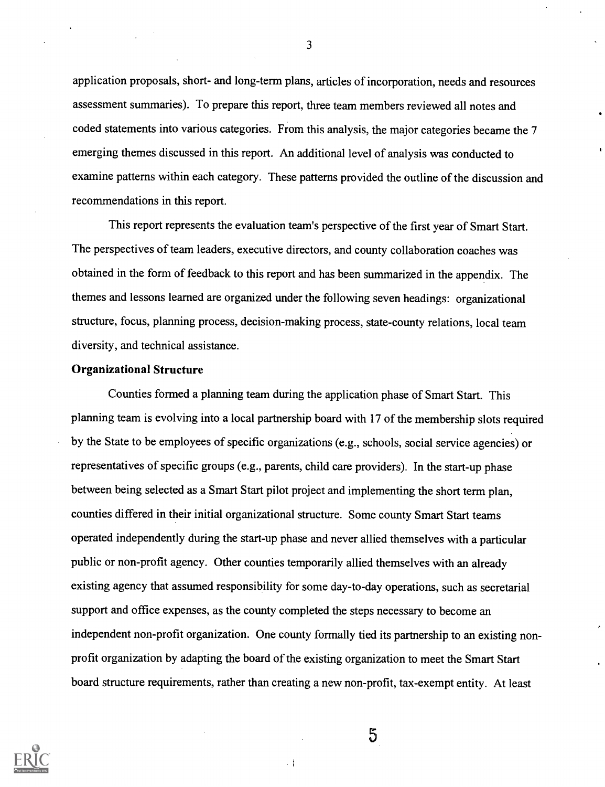application proposals, short- and long-term plans, articles of incorporation, needs and resources assessment summaries). To prepare this report, three team members reviewed all notes and coded statements into various categories. From this analysis, the major categories became the 7 emerging themes discussed in this report. An additional level of analysis was conducted to examine patterns within each category. These patterns provided the outline of the discussion and recommendations in this report.

This report represents the evaluation team's perspective of the first year of Smart Start. The perspectives of team leaders, executive directors, and county collaboration coaches was obtained in the form of feedback to this report and has been summarized in the appendix. The themes and lessons learned are organized under the following seven headings: organizational structure, focus, planning process, decision-making process, state-county relations, local team diversity, and technical assistance.

#### Organizational Structure

Counties formed a planning team during the application phase of Smart Start. This planning team is evolving into a local partnership board with 17 of the membership slots required by the State to be employees of specific organizations (e.g., schools, social service agencies) or representatives of specific groups (e.g., parents, child care providers). In the start-up phase between being selected as a Smart Start pilot project and implementing the short term plan, counties differed in their initial organizational structure. Some county Smart Start teams operated independently during the start-up phase and never allied themselves with a particular public or non-profit agency. Other counties temporarily allied themselves with an already existing agency that assumed responsibility for some day-to-day operations, such as secretarial support and office expenses, as the county completed the steps necessary to become an independent non-profit organization. One county formally tied its partnership to an existing nonprofit organization by adapting the board of the existing organization to meet the Smart Start board structure requirements, rather than creating a new non-profit, tax-exempt entity. At least



3

 $5\overline{)}$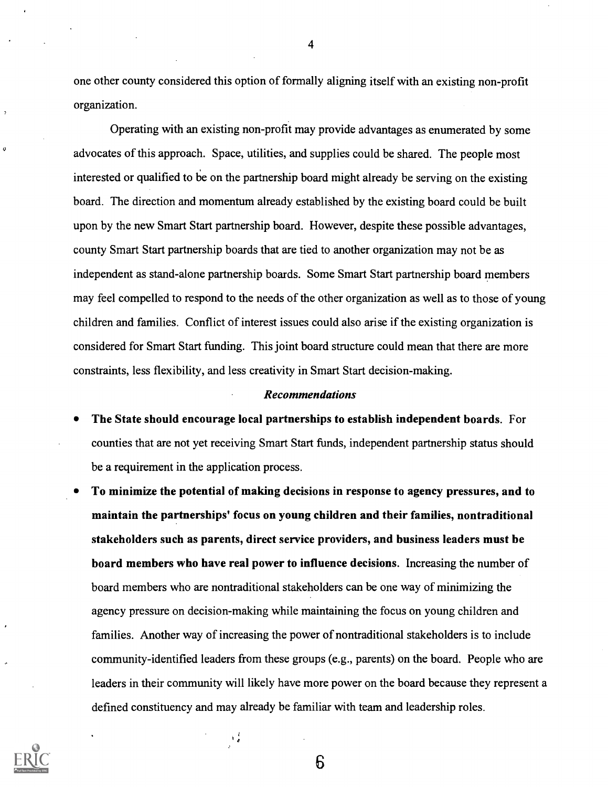one other county considered this option of formally aligning itself with an existing non-profit organization.

Operating with an existing non-profit may provide advantages as enumerated by some advocates of this approach. Space, utilities, and supplies could be shared. The people most interested or qualified to be on the partnership board might already be serving on the existing board. The direction and momentum already established by the existing board could be built upon by the new Smart Start partnership board. However, despite these possible advantages, county Smart Start partnership boards that are tied to another organization may not be as independent as stand-alone partnership boards. Some Smart Start partnership board members may feel compelled to respond to the needs of the other organization as well as to those of young children and families. Conflict of interest issues could also arise if the existing organization is considered for Smart Start funding. This joint board structure could mean that there are more constraints, less flexibility, and less creativity in Smart Start decision-making.

#### Recommendations

- The State should encourage local partnerships to establish independent boards. For counties that are not yet receiving Smart Start funds, independent partnership status should be a requirement in the application process.
- To minimize the potential of making decisions in response to agency pressures, and to maintain the partnerships' focus on young children and their families, nontraditional stakeholders such as parents, direct service providers, and business leaders must be board members who have real power to influence decisions. Increasing the number of board members who are nontraditional stakeholders can be one way of minimizing the agency pressure on decision-making while maintaining the focus on young children and families. Another way of increasing the power of nontraditional stakeholders is to include community-identified leaders from these groups (e.g., parents) on the board. People who are leaders in their community will likely have more power on the board because they represent a defined constituency and may already be familiar with team and leadership roles.



 $\mathbf{o}$ 

4

6

 $\frac{1}{2}$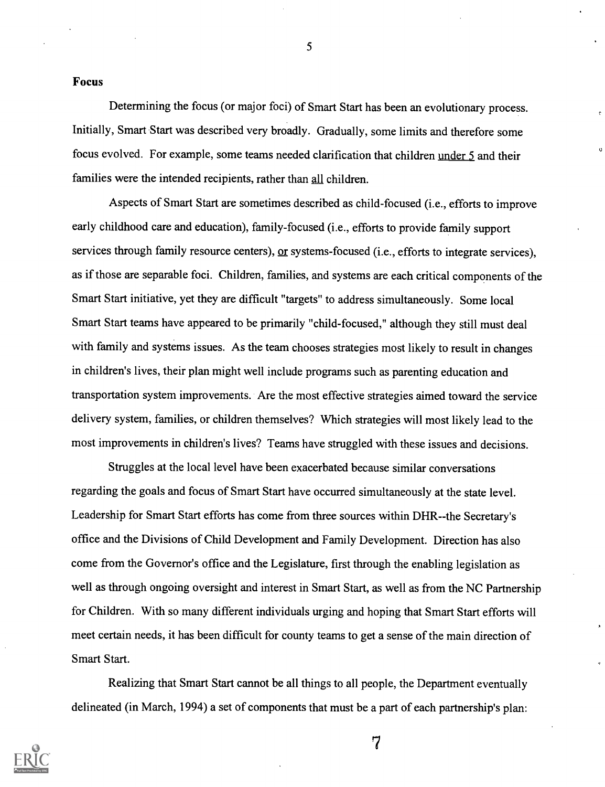#### Focus

Determining the focus (or major foci) of Smart Start has been an evolutionary process. Initially, Smart Start was described very broadly. Gradually, some limits and therefore some focus evolved. For example, some teams needed clarification that children under 5 and their families were the intended recipients, rather than all children.

Aspects of Smart Start are sometimes described as child-focused (i.e., efforts to improve early childhood care and education), family-focused (i.e., efforts to provide family support services through family resource centers), or systems-focused (i.e., efforts to integrate services), as if those are separable foci. Children, families, and systems are each critical components of the Smart Start initiative, yet they are difficult "targets" to address simultaneously. Some local Smart Start teams have appeared to be primarily "child-focused," although they still must deal with family and systems issues. As the team chooses strategies most likely to result in changes in children's lives, their plan might well include programs such as parenting education and transportation system improvements. Are the most effective strategies aimed toward the service delivery system, families, or children themselves? Which strategies will most likely lead to the most improvements in children's lives? Teams have struggled with these issues and decisions.

Struggles at the local level have been exacerbated because similar conversations regarding the goals and focus of Smart Start have occurred simultaneously at the state level. Leadership for Smart Start efforts has come from three sources within DHR--the Secretary's office and the Divisions of Child Development and Family Development. Direction has also come from the Governor's office and the Legislature, first through the enabling legislation as well as through ongoing oversight and interest in Smart Start, as well as from the NC Partnership for Children. With so many different individuals urging and hoping that Smart Start efforts will meet certain needs, it has been difficult for county teams to get a sense of the main direction of Smart Start.

Realizing that Smart Start cannot be all things to all people, the Department eventually delineated (in March, 1994) a set of components that must be a part of each partnership's plan:



5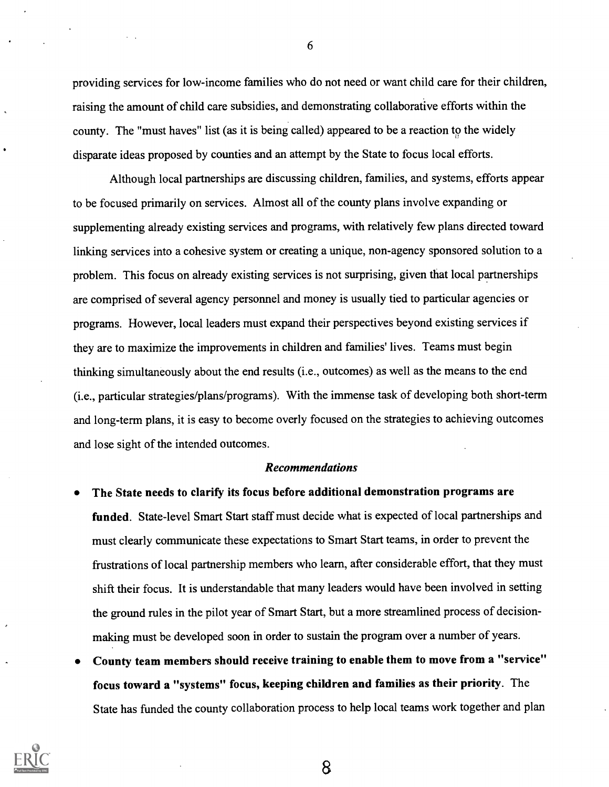providing services for low-income families who do not need or want child care for their children, raising the amount of child care subsidies, and demonstrating collaborative efforts within the county. The "must haves" list (as it is being called) appeared to be a reaction to the widely disparate ideas proposed by counties and an attempt by the State to focus local efforts.

Although local partnerships are discussing children, families, and systems, efforts appear to be focused primarily on services. Almost all of the county plans involve expanding or supplementing already existing services and programs, with relatively few plans directed toward linking services into a cohesive system or creating a unique, non-agency sponsored solution to a problem. This focus on already existing services is not surprising, given that local partnerships are comprised of several agency personnel and money is usually tied to particular agencies or programs. However, local leaders must expand their perspectives beyond existing services if they are to maximize the improvements in children and families' lives. Teams must begin thinking simultaneously about the end results (i.e., outcomes) as well as the means to the end (i.e., particular strategies/plans/programs). With the immense task of developing both short-term and long-term plans, it is easy to become overly focused on the strategies to achieving outcomes and lose sight of the intended outcomes.

#### Recommendations

- The State needs to clarify its focus before additional demonstration programs are funded. State-level Smart Start staff must decide what is expected of local partnerships and must clearly communicate these expectations to Smart Start teams, in order to prevent the frustrations of local partnership members who learn, after considerable effort, that they must shift their focus. It is understandable that many leaders would have been involved in setting the ground rules in the pilot year of Smart Start, but a more streamlined process of decisionmaking must be developed soon in order to sustain the program over a number of years.
- County team members should receive training to enable them to move from a "service" focus toward a "systems" focus, keeping children and families as their priority. The State has funded the county collaboration process to help local teams work together and plan



6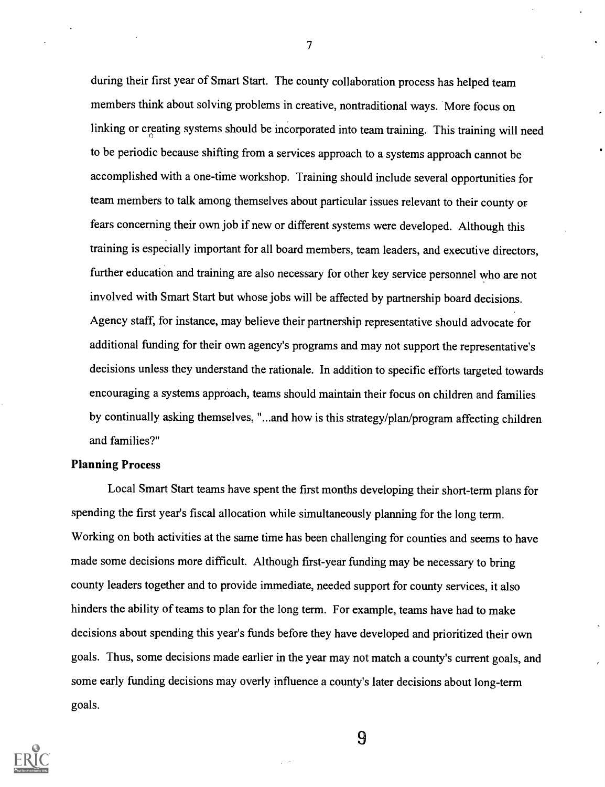during their first year of Smart Start. The county collaboration process has helped team members think about solving problems in creative, nontraditional ways. More focus on linking or creating systems should be incorporated into team training. This training will need to be periodic because shifting from a services approach to a systems approach cannot be accomplished with a one-time workshop. Training should include several opportunities for team members to talk among themselves about particular issues relevant to their county or fears concerning their own job if new or different systems were developed. Although this training is especially important for all board members, team leaders, and executive directors, further education and training are also necessary for other key service personnel who are not involved with Smart Start but whose jobs will be affected by partnership board decisions. Agency staff, for instance, may believe their partnership representative should advocate for additional funding for their own agency's programs and may not support the representative's decisions unless they understand the rationale. In addition to specific efforts targeted towards encouraging a systems approach, teams should maintain their focus on children and families by continually asking themselves, "...and how is this strategy/plan/program affecting children and families?"

#### Planning Process

Local Smart Start teams have spent the first months developing their short-term plans for spending the first year's fiscal allocation while simultaneously planning for the long term. Working on both activities at the same time has been challenging for counties and seems to have made some decisions more difficult. Although first-year funding may be necessary to bring county leaders together and to provide immediate, needed support for county services, it also hinders the ability of teams to plan for the long term. For example, teams have had to make decisions about spending this year's funds before they have developed and prioritized their own goals. Thus, some decisions made earlier in the year may not match a county's current goals, and some early funding decisions may overly influence a county's later decisions about long-term goals.



7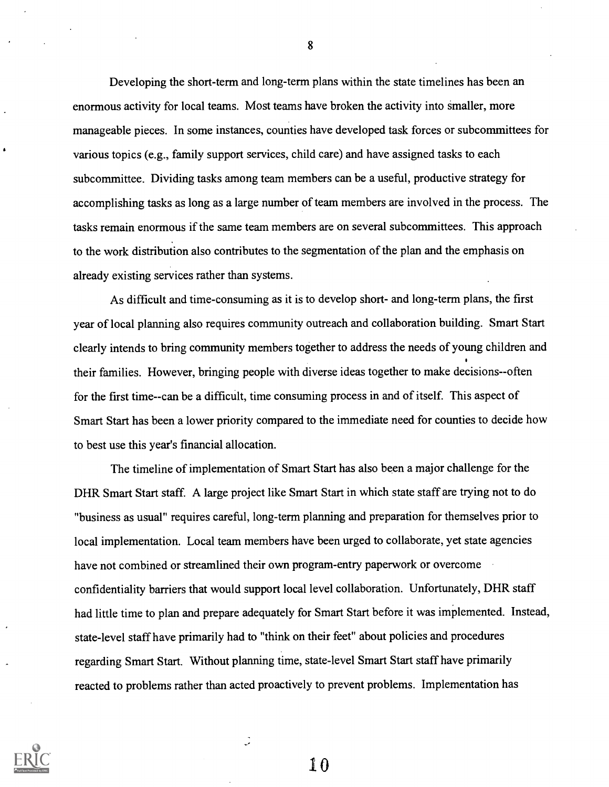Developing the short-term and long-term plans within the state timelines has been an enormous activity for local teams. Most teams have broken the activity into smaller, more manageable pieces. In some instances, counties have developed task forces or subcommittees for various topics (e.g., family support services, child care) and have assigned tasks to each subcommittee. Dividing tasks among team members can be a useful, productive strategy for accomplishing tasks as long as a large number of team members are involved in the process. The tasks remain enormous if the same team members are on several subcommittees. This approach to the work distribution also contributes to the segmentation of the plan and the emphasis on already existing services rather than systems.

As difficult and time-consuming as it is to develop short- and long-term plans, the first year of local planning also requires community outreach and collaboration building. Smart Start clearly intends to bring community members together to address the needs of young children and their families. However, bringing people with diverse ideas together to make decisions--often for the first time--can be a difficult, time consuming process in and of itself. This aspect of Smart Start has been a lower priority compared to the immediate need for counties to decide how to best use this year's financial allocation.

The timeline of implementation of Smart Start has also been a major challenge for the DHR Smart Start staff. A large project like Smart Start in which state staff are trying not to do "business as usual" requires careful, long-term planning and preparation for themselves prior to local implementation. Local team members have been urged to collaborate, yet state agencies have not combined or streamlined their own program-entry paperwork or overcome confidentiality barriers that would support local level collaboration. Unfortunately, DHR staff had little time to plan and prepare adequately for Smart Start before it was implemented. Instead, state-level staff have primarily had to "think on their feet" about policies and procedures regarding Smart Start. Without planning time, state-level Smart Start staff have primarily reacted to problems rather than acted proactively to prevent problems. Implementation has



8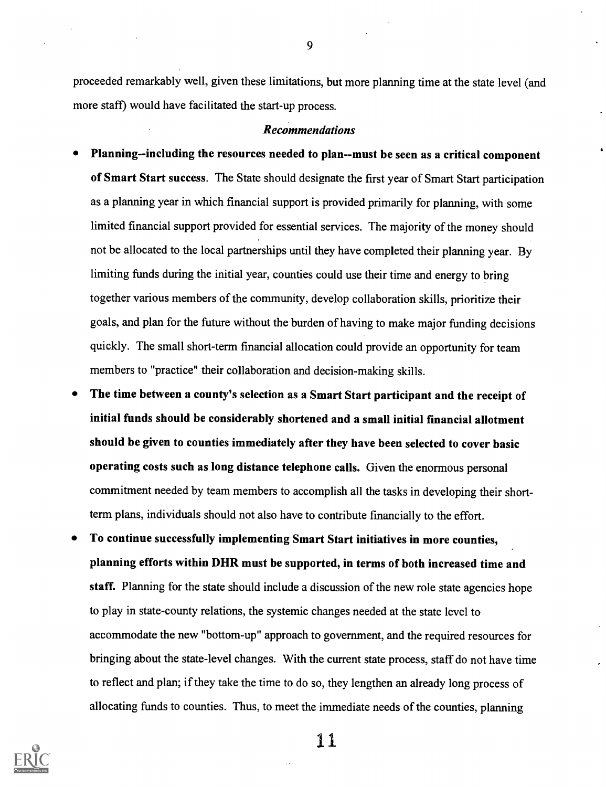proceeded remarkably well, given these limitations, but more planning time at the state level (and more staff) would have facilitated the start-up process.

#### Recommendations

- Planning--including the resources needed to plan--must be seen as a critical component of Smart Start success. The State should designate the first year of Smart Start participation as a planning year in which financial support is provided primarily for planning, with some limited financial support provided for essential services. The majority of the money should not be allocated to the local partnerships until they have completed their planning year. By limiting funds during the initial year, counties could use their time and energy to bring together various members of the community, develop collaboration skills, prioritize their goals, and plan for the future without the burden of having to make major funding decisions quickly. The small short-term financial allocation could provide an opportunity for team members to "practice" their collaboration and decision-making skills.
- The time between a county's selection as a Smart Start participant and the receipt of initial funds should be considerably shortened and a small initial financial allotment should be given to counties immediately after they have been selected to cover basic operating costs such as long distance telephone calls. Given the enormous personal commitment needed by team members to accomplish all the tasks in developing their shortterm plans, individuals should not also have to contribute financially to the effort.
- To continue successfully implementing Smart Start initiatives in more counties, planning efforts within DHR must be supported, in terms of both increased time and staff. Planning for the state should include a discussion of the new role state agencies hope to play in state-county relations, the systemic changes needed at the state level to accommodate the new "bottom-up" approach to government, and the required resources for bringing about the state-level changes. With the current state process, staff do not have time to reflect and plan; if they take the time to do so, they lengthen an already long process of allocating funds to counties. Thus, to meet the immediate needs of the counties, planning



1 1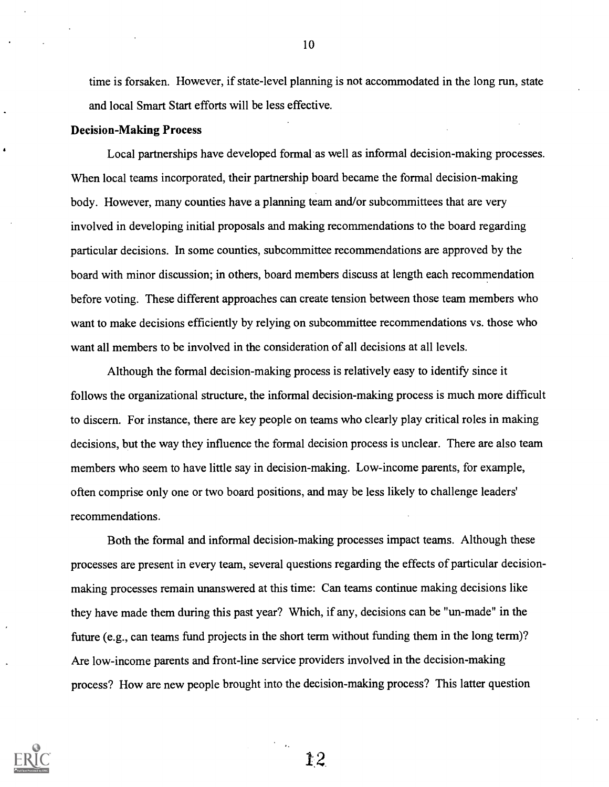time is forsaken. However, if state-level planning is not accommodated in the long run, state and local Smart Start efforts will be less effective.

#### Decision-Making Process

Local partnerships have developed formal as well as informal decision-making processes. When local teams incorporated, their partnership board became the formal decision-making body. However, many counties have a planning team and/or subcommittees that are very involved in developing initial proposals and making recommendations to the board regarding particular decisions. In some counties, subcommittee recommendations are approved by the board with minor discussion; in others, board members discuss at length each recomendation before voting. These different approaches can create tension between those team members who want to make decisions efficiently by relying on subcommittee recommendations vs. those who want all members to be involved in the consideration of all decisions at all levels.

Although the formal decision-making process is relatively easy to identify since it follows the organizational structure, the informal decision-making process is much more difficult to discern. For instance, there are key people on teams who clearly play critical roles in making decisions, but the way they influence the formal decision process is unclear. There are also team members who seem to have little say in decision-making. Low-income parents, for example, often comprise only one or two board positions, and may be less likely to challenge leaders' recommendations.

Both the formal and informal decision-making processes impact teams. Although these processes are present in every team, several questions regarding the effects of particular decisionmaking processes remain unanswered at this time: Can teams continue making decisions like they have made them during this past year? Which, if any, decisions can be "un-made" in the future (e.g., can teams fund projects in the short term without funding them in the long term)? Are low-income parents and front-line service providers involved in the decision-making process? How are new people brought into the decision-making process? This latter question



10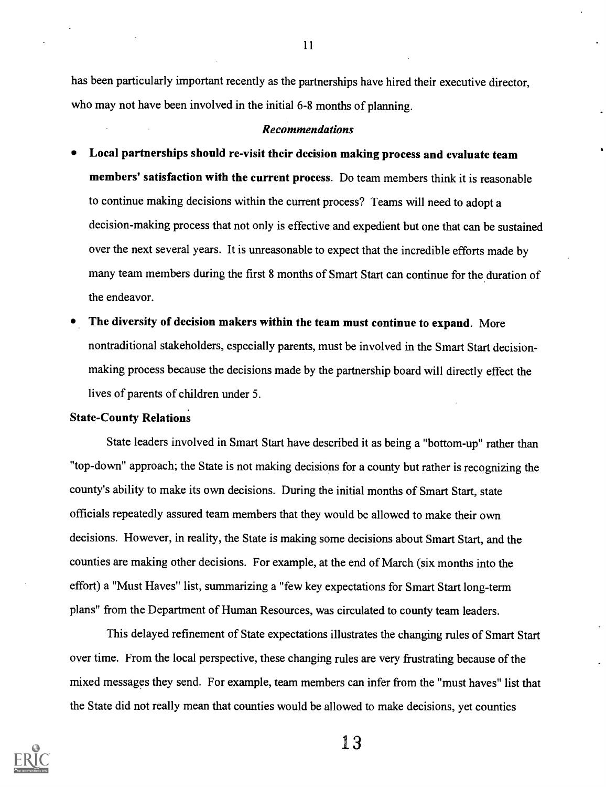has been particularly important recently as the partnerships have hired their executive director, who may not have been involved in the initial 6-8 months of planning.

#### Recommendations

- Local partnerships should re-visit their decision making process and evaluate team members' satisfaction with the current process. Do team members think it is reasonable to continue making decisions within the current process? Teams will need to adopt a decision-making process that not only is effective and expedient but one that can be sustained over the next several years. It is unreasonable to expect that the incredible efforts made by many team members during the first 8 months of Smart Start can continue for the duration of the endeavor.
- The diversity of decision makers within the team must continue to expand. More nontraditional stakeholders, especially parents, must be involved in the Smart Start decisionmaking process because the decisions made by the partnership board will directly effect the lives of parents of children under 5.

#### State-County Relations

State leaders involved in Smart Start have described it as being a "bottom-up" rather than "top-down" approach; the State is not making decisions for a county but rather is recognizing the county's ability to make its own decisions. During the initial months of Smart Start, state officials repeatedly assured team members that they would be allowed to make their own decisions. However, in reality, the State is making some decisions about Smart Start, and the counties are making other decisions. For example, at the end of March (six months into the effort) a "Must Haves" list, summarizing a "few key expectations for Smart Start long-term plans" from the Department of Human Resources, was circulated to county team leaders.

This delayed refinement of State expectations illustrates the changing rules of Smart Start over time. From the local perspective, these changing rules are very frustrating because of the mixed messages they send. For example, team members can infer from the "must haves" list that the State did not really mean that counties would be allowed to make decisions, yet counties



11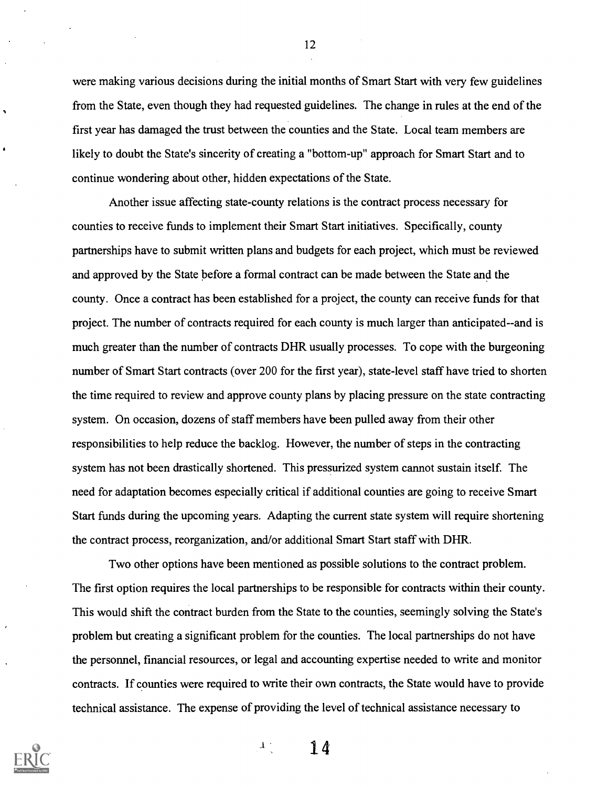were making various decisions during the initial months of Smart Start with very few guidelines from the State, even though they had requested guidelines. The change in rules at the end of the first year has damaged the trust between the counties and the State. Local team members are likely to doubt the State's sincerity of creating a "bottom-up" approach for Smart Start and to continue wondering about other, hidden expectations of the State.

Another issue affecting state-county relations is the contract process necessary for counties to receive funds to implement their Smart Start initiatives. Specifically, county partnerships have to submit written plans and budgets for each project, which must be reviewed and approved by the State before a formal contract can be made between the State and the county. Once a contract has been established for a project, the county can receive funds for that project. The number of contracts required for each county is much larger than anticipated--and is much greater than the number of contracts DHR usually processes. To cope with the burgeoning number of Smart Start contracts (over 200 for the first year), state-level staff have tried to shorten the time required to review and approve county plans by placing pressure on the state contracting system. On occasion, dozens of staff members have been pulled away from their other responsibilities to help reduce the backlog. However, the number of steps in the contracting system has not been drastically shortened. This pressurized system cannot sustain itself. The need for adaptation becomes especially critical if additional counties are going to receive Smart Start funds during the upcoming years. Adapting the current state system will require shortening the contract process, reorganization, and/or additional Smart Start staff with DHR.

Two other options have been mentioned as possible solutions to the contract problem. The first option requires the local partnerships to be responsible for contracts within their county. This would shift the contract burden from the State to the counties, seemingly solving the State's problem but creating a significant problem for the counties. The local partnerships do not have the personnel, financial resources, or legal and accounting expertise needed to write and monitor contracts. If counties were required to write their own contracts, the State would have to provide technical assistance. The expense of providing the level of technical assistance necessary to



 $\ddot{\phantom{1}}$ 

12

 $\Lambda_{\rm eff}$ 14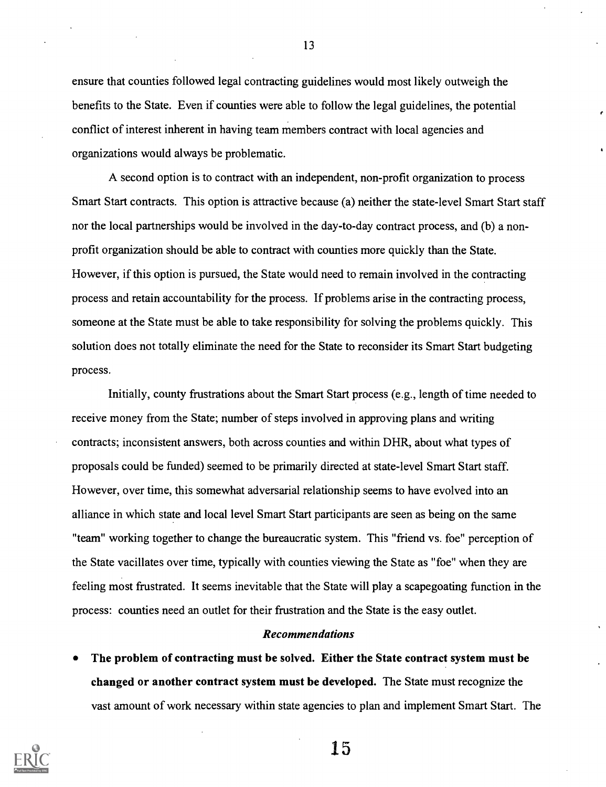ensure that counties followed legal contracting guidelines would most likely outweigh the benefits to the State. Even if counties were able to follow the legal guidelines, the potential conflict of interest inherent in having team members contract with local agencies and organizations would always be problematic.

A second option is to contract with an independent, non-profit organization to process Smart Start contracts. This option is attractive because (a) neither the state-level Smart Start staff nor the local partnerships would be involved in the day-to-day contract process, and (b) a nonprofit organization should be able to contract with counties more quickly than the State. However, if this option is pursued, the State would need to remain involved in the contracting process and retain accountability for the process. If problems arise in the contracting process, someone at the State must be able to take responsibility for solving the problems quickly. This solution does not totally eliminate the need for the State to reconsider its Smart Start budgeting process.

Initially, county frustrations about the Smart Start process (e.g., length of time needed to receive money from the State; number of steps involved in approving plans and writing contracts; inconsistent answers, both across counties and within DHR, about what types of proposals could be funded) seemed to be primarily directed at state-level Smart Start staff. However, over time, this somewhat adversarial relationship seems to have evolved into an alliance in which state and local level Smart Start participants are seen as being on the same "team" working together to change the bureaucratic system. This "friend vs. foe" perception of the State vacillates over time, typically with counties viewing the State as "foe" when they are feeling most frustrated. It seems inevitable that the State will play a scapegoating function in the process: counties need an outlet for their frustration and the State is the easy outlet.

#### Recommendations

The problem of contracting must be solved. Either the State contract system must be changed or another contract system must be developed. The State must recognize the vast amount of work necessary within state agencies to plan and implement Smart Start. The



13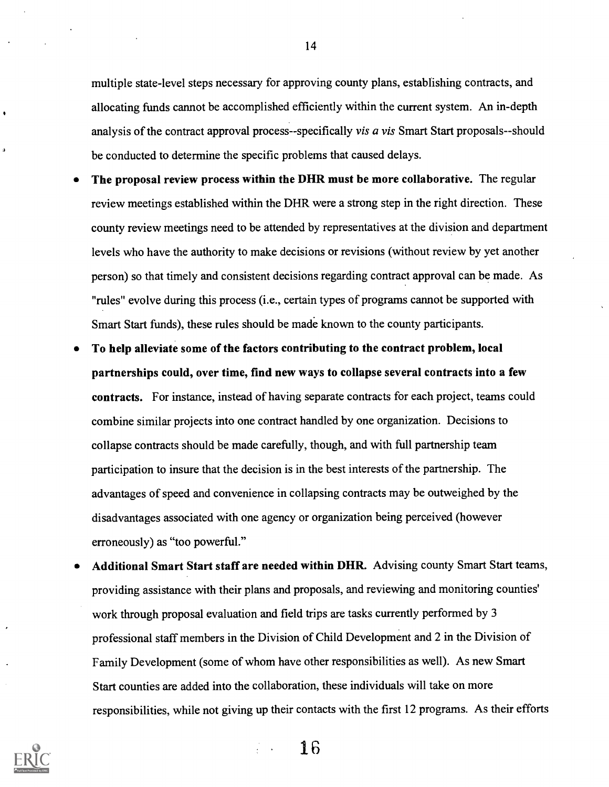multiple state-level steps necessary for approving county plans, establishing contracts, and allocating funds cannot be accomplished efficiently within the current system. An in-depth analysis of the contract approval process--specifically *vis a vis* Smart Start proposals--should be conducted to determine the specific problems that caused delays.

- The proposal review process within the DHR must be more collaborative. The regular review meetings established within the DHR were a strong step in the right direction. These county review meetings need to be attended by representatives at the division and department levels who have the authority to make decisions or revisions (without review by yet another person) so that timely and consistent decisions regarding contract approval can be made. As "rules" evolve during this process (i.e., certain types of programs cannot be supported with Smart Start funds), these rules should be made known to the county participants.
- To help alleviate some of the factors contributing to the contract problem, local partnerships could, over time, find new ways to collapse several contracts into a few contracts. For instance, instead of having separate contracts for each project, teams could combine similar projects into one contract handled by one organization. Decisions to collapse contracts should be made carefully, though, and with full partnership team participation to insure that the decision is in the best interests of the partnership. The advantages of speed and convenience in collapsing contracts may be outweighed by the disadvantages associated with one agency or organization being perceived (however erroneously) as "too powerful."
- Additional Smart Start staff are needed within DHR. Advising county Smart Start teams, providing assistance with their plans and proposals, and reviewing and monitoring counties' work through proposal evaluation and field trips are tasks currently performed by 3 professional staff members in the Division of Child Development and 2 in the Division of Family Development (some of whom have other responsibilities as well). As new Smart Start counties are added into the collaboration, these individuals will take on more responsibilities, while not giving up their contacts with the first 12 programs. As their efforts



14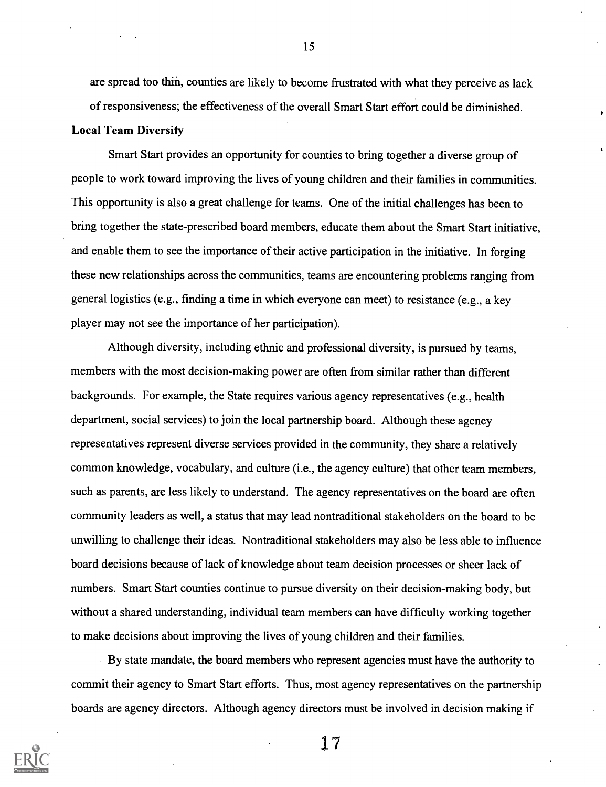are spread too thin, counties are likely to become frustrated with what they perceive as lack of responsiveness; the effectiveness of the overall Smart Start effort could be diminished.

#### Local Team Diversity

Smart Start provides an opportunity for counties to bring together a diverse group of people to work toward improving the lives of young children and their families in communities. This opportunity is also a great challenge for teams. One of the initial challenges has been to bring together the state-prescribed board members, educate them about the Smart Start initiative, and enable them to see the importance of their active participation in the initiative. In forging these new relationships across the communities, teams are encountering problems ranging from general logistics (e.g., finding a time in which everyone can meet) to resistance (e.g., a key player may not see the importance of her participation).

Although diversity, including ethnic and professional diversity, is pursued by teams, members with the most decision-making power are often from similar rather than different backgrounds. For example, the State requires various agency representatives (e.g., health department, social services) to join the local partnership board. Although these agency representatives represent diverse services provided in the community, they share a relatively common knowledge, vocabulary, and culture (i.e., the agency culture) that other team members, such as parents, are less likely to understand. The agency representatives on the board are often community leaders as well, a status that may lead nontraditional stakeholders on the board to be unwilling to challenge their ideas. Nontraditional stakeholders may also be less able to influence board decisions because of lack of knowledge about team decision processes or sheer lack of numbers. Smart Start counties continue to pursue diversity on their decision-making body, but without a shared understanding, individual team members can have difficulty working together to make decisions about improving the lives of young children and their families.

By state mandate, the board members who represent agencies must have the authority to commit their agency to Smart Start efforts. Thus, most agency representatives on the partnership boards are agency directors. Although agency directors must be involved in decision making if

17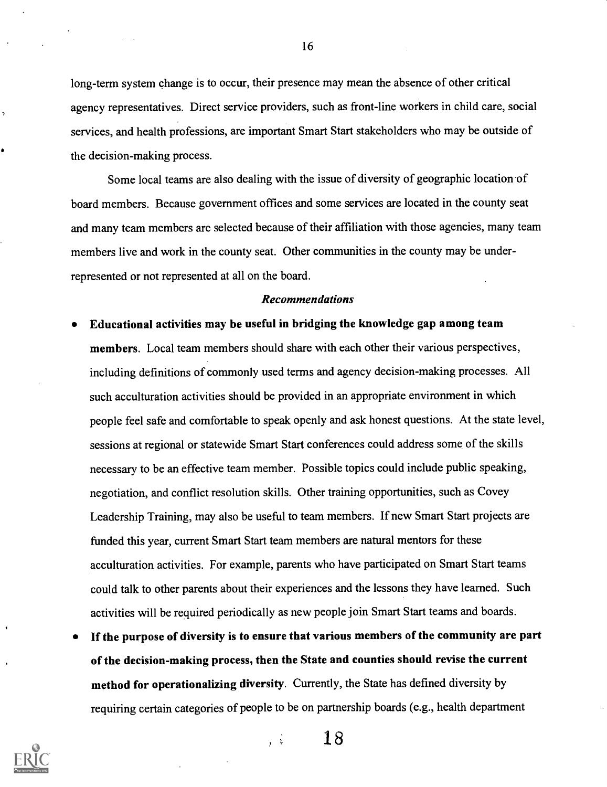long-term system change is to occur, their presence may mean the absence of other critical agency representatives. Direct service providers, such as front-line workers in child care, social services, and health professions, are important Smart Start stakeholders who may be outside of the decision-making process.

Some local teams are also dealing with the issue of diversity of geographic location of board members. Because government offices and some services are located in the county seat and many team members are selected because of their affiliation with those agencies, many team members live and work in the county seat. Other communities in the county may be underrepresented or not represented at all on the board.

#### Recommendations

- Educational activities may be useful in bridging the knowledge gap among team members. Local team members should share with each other their various perspectives, including definitions of commonly used terms and agency decision-making processes. All such acculturation activities should be provided in an appropriate environment in which people feel safe and comfortable to speak openly and ask honest questions. At the state level, sessions at regional or statewide Smart Start conferences could address some of the skills necessary to be an effective team member. Possible topics could include public speaking, negotiation, and conflict resolution skills. Other training opportunities, such as Covey Leadership Training, may also be useful to team members. If new Smart Start projects are funded this year, current Smart Start team members are natural mentors for these acculturation activities. For example, parents who have participated on Smart Start teams could talk to other parents about their experiences and the lessons they have learned. Such activities will be required periodically as new people join Smart Start teams and boards.
- If the purpose of diversity is to ensure that various members of the community are part of the decision-making process, then the State and counties should revise the current method for operationalizing diversity. Currently, the State has defined diversity by requiring certain categories of people to be on partnership boards (e.g., health department

 $\sqrt{\hat{V}}$ 



16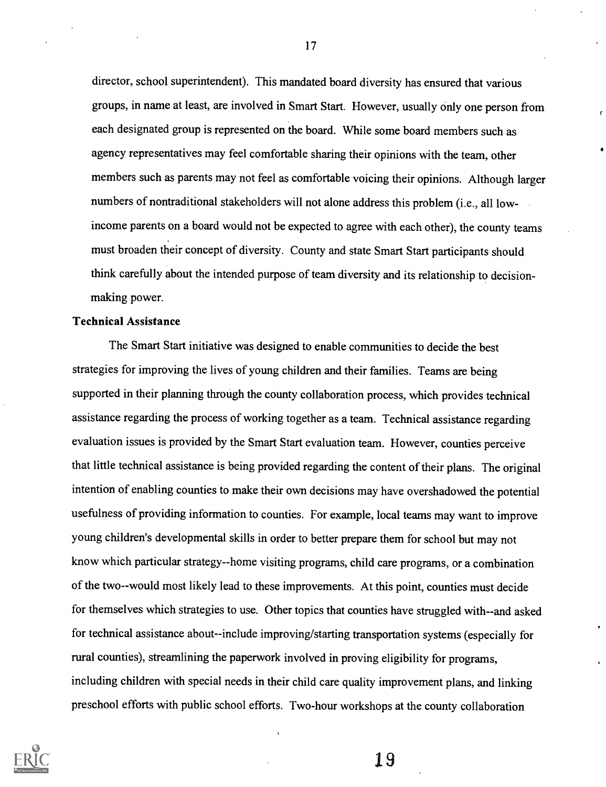director, school superintendent). This mandated board diversity has ensured that various groups, in name at least, are involved in Smart Start. However, usually only one person from each designated group is represented on the board. While some board members such as agency representatives may feel comfortable sharing their opinions with the team, other members such as parents may not feel as comfortable voicing their opinions. Although larger numbers of nontraditional stakeholders will not alone address this problem (i.e., all lowincome parents on a board would not be expected to agree with each other), the county teams must broaden their concept of diversity. County and state Smart Start participants should think carefully about the intended purpose of team diversity and its relationship to decisionmaking power.

#### Technical Assistance

The Smart Start initiative was designed to enable communities to decide the best strategies for improving the lives of young children and their families. Teams are being supported in their planning through the county collaboration process, which provides technical assistance regarding the process of working together as a team. Technical assistance regarding evaluation issues is provided by the Smart Start evaluation team. However, counties perceive that little technical assistance is being provided regarding the content of their plans. The original intention of enabling counties to make their own decisions may have overshadowed the potential usefulness of providing information to counties. For example, local teams may want to improve young children's developmental skills in order to better prepare them for school but may not know which particular strategy--home visiting programs, child care programs, or a combination of the two--would most likely lead to these improvements. At this point, counties must decide for themselves which strategies to use. Other topics that counties have struggled with--and asked for technical assistance about--include improving/starting transportation systems (especially for rural counties), streamlining the paperwork involved in proving eligibility for programs, including children with special needs in their child care quality improvement plans, and linking preschool efforts with public school efforts. Two-hour workshops at the county collaboration



17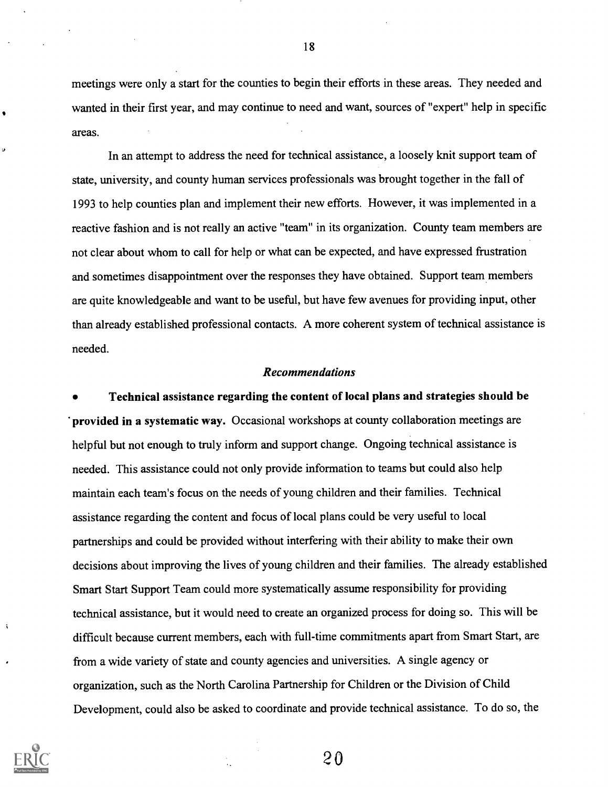meetings were only a start for the counties to begin their efforts in these areas. They needed and wanted in their first year, and may continue to need and want, sources of "expert" help in specific areas.

In an attempt to address the need for technical assistance, a loosely knit support team of state, university, and county human services professionals was brought together in the fall of 1993 to help counties plan and implement their new efforts. However, it was implemented in a reactive fashion and is not really an active "team" in its organization. County team members are not clear about whom to call for help or what can be expected, and have expressed frustration and sometimes disappointment over the responses they have obtained. Support team members are quite knowledgeable and want to be useful, but have few avenues for providing input, other than already established professional contacts. A more coherent system of technical assistance is needed.

#### Recommendations

Technical assistance regarding the content of local plans and strategies should be provided in a systematic way. Occasional workshops at county collaboration meetings are helpful but not enough to truly inform and support change. Ongoing technical assistance is needed. This assistance could not only provide information to teams but could also help maintain each team's focus on the needs of young children and their families. Technical assistance regarding the content and focus of local plans could be very useful to local partnerships and could be provided without interfering with their ability to make their own decisions about improving the lives of young children and their families. The already established Smart Start Support Team could more systematically assume responsibility for providing technical assistance, but it would need to create an organized process for doing so. This will be difficult because current members, each with full-time commitments apart from Smart Start, are from a wide variety of state and county agencies and universities. A single agency or organization, such as the North Carolina Partnership for Children or the Division of Child Development, could also be asked to coordinate and provide technical assistance. To do so, the



÷

20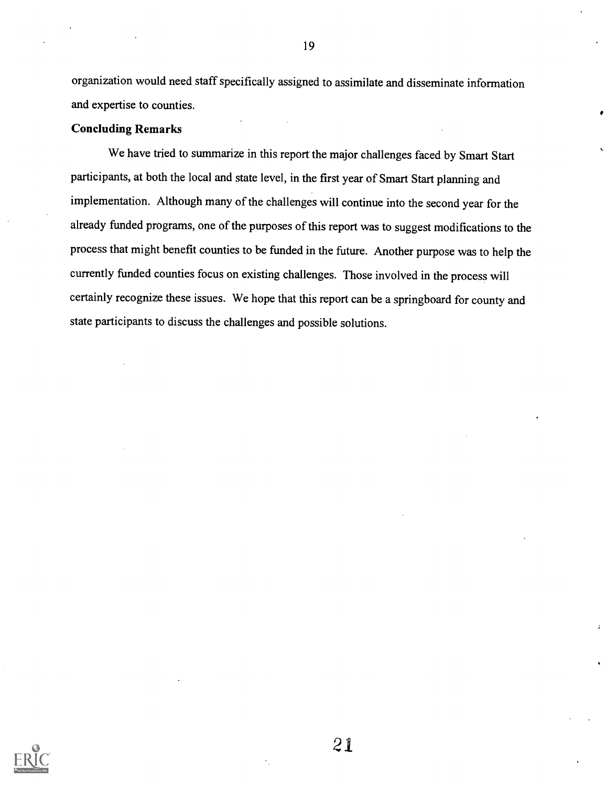organization would need staff specifically assigned to assimilate and disseminate information and expertise to counties.

#### Concluding Remarks

We have tried to summarize in this report the major challenges faced by Smart Start participants, at both the local and state level, in the first year of Smart Start planning and implementation. Although many of the challenges will continue into the second year for the already funded programs, one of the purposes of this report was to suggest modifications to the process that might benefit counties to be funded in the future. Another purpose was to help the currently funded counties focus on existing challenges. Those involved in the process will certainly recognize these issues. We hope that this report can be a springboard for county and state participants to discuss the challenges and possible solutions.



19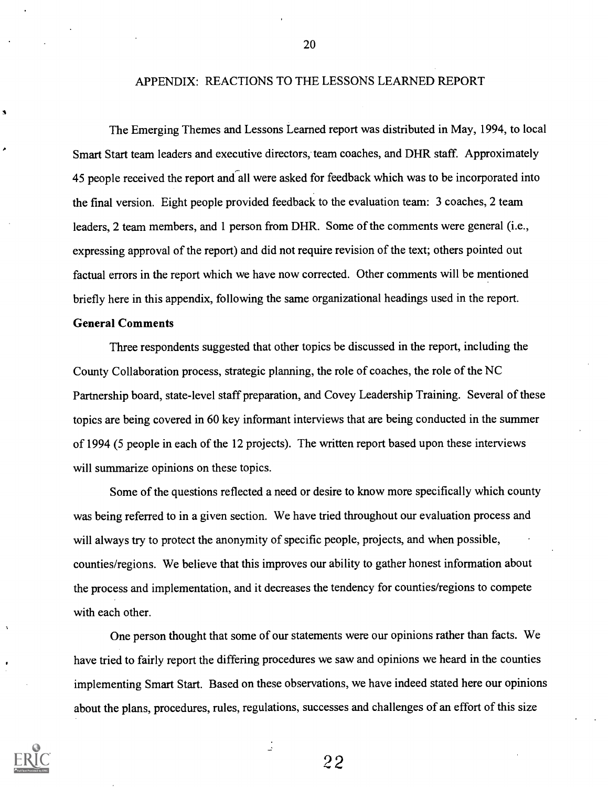#### APPENDIX: REACTIONS TO THE LESSONS LEARNED REPORT

The Emerging Themes and Lessons Learned report was distributed in May, 1994, to local Smart Start team leaders and executive directors, team coaches, and DHR staff. Approximately 45 people received the report and all were asked for feedback which was to be incorporated into the final version. Eight people provided feedback to the evaluation team: 3 coaches, 2 team leaders, 2 team members, and 1 person from DHR. Some of the comments were general (i.e., expressing approval of the report) and did not require revision of the text; others pointed out factual errors in the report which we have now corrected. Other comments will be mentioned briefly here in this appendix, following the same organizational headings used in the report.

#### General Comments

Three respondents suggested that other topics be discussed in the report, including the County Collaboration process, strategic planning, the role of coaches, the role of the NC Partnership board, state-level staff preparation, and Covey Leadership Training. Several of these topics are being covered in 60 key informant interviews that are being conducted in the summer of 1994 (5 people in each of the 12 projects). The written report based upon these interviews will summarize opinions on these topics.

Some of the questions reflected a need or desire to know more specifically which county was being referred to in a given section. We have tried throughout our evaluation process and will always try to protect the anonymity of specific people, projects, and when possible, counties/regions. We believe that this improves our ability to gather honest information about the process and implementation, and it decreases the tendency for counties/regions to compete with each other.

One person thought that some of our statements were our opinions rather than facts. We have tried to fairly report the differing procedures we saw and opinions we heard in the counties implementing Smart Start. Based on these observations, we have indeed stated here our opinions about the plans, procedures, rules, regulations, successes and challenges of an effort of this size

 $\frac{1}{2}$ 



20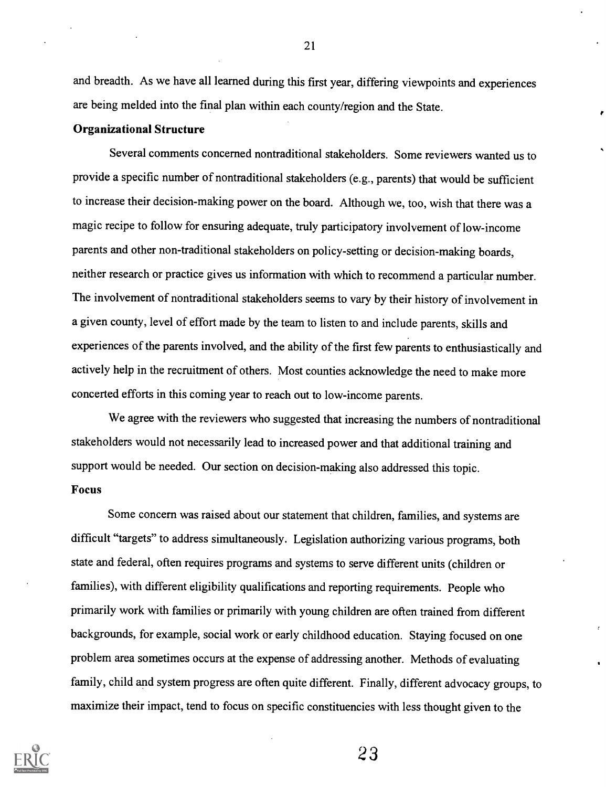and breadth. As we have all learned during this first year, differing viewpoints and experiences are being melded into the final plan within each county/region and the State.

#### Organizational Structure

Several comments concerned nontraditional stakeholders. Some reviewers wanted us to provide a specific number of nontraditional stakeholders (e.g., parents) that would be sufficient to increase their decision-making power on the board. Although we, too, wish that there was a magic recipe to follow for ensuring adequate, truly participatory involvement of low-income parents and other non-traditional stakeholders on policy-setting or decision-making boards, neither research or practice gives us information with which to recommend a particular number. The involvement of nontraditional stakeholders seems to vary by their history of involvement in a given county, level of effort made by the team to listen to and include parents, skills and experiences of the parents involved, and the ability of the first few parents to enthusiastically and actively help in the recruitment of others. Most counties acknowledge the need to make more concerted efforts in this coming year to reach out to low-income parents.

We agree with the reviewers who suggested that increasing the numbers of nontraditional stakeholders would not necessarily lead to increased power and that additional training and support would be needed. Our section on decision-making also addressed this topic. Focus

Some concern was raised about our statement that children, families, and systems are difficult "targets" to address simultaneously. Legislation authorizing various programs, both state and federal, often requires programs and systems to serve different units (children or families), with different eligibility qualifications and reporting requirements. People who primarily work with families or primarily with young children are often trained from different backgrounds, for example, social work or early childhood education. Staying focused on one problem area sometimes occurs at the expense of addressing another. Methods of evaluating family, child and system progress are often quite different. Finally, different advocacy groups, to maximize their impact, tend to focus on specific constituencies with less thought given to the



21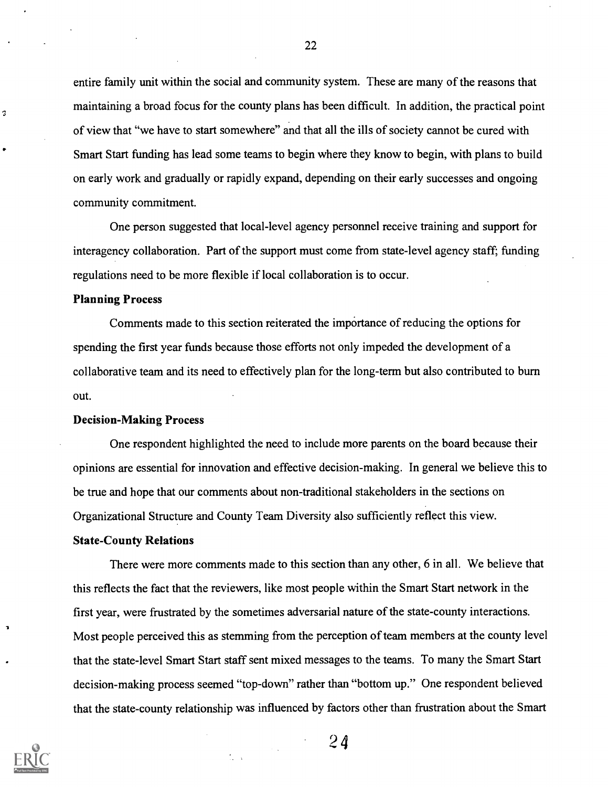entire family unit within the social and community system. These are many of the reasons that maintaining a broad focus for the county plans has been difficult. In addition, the practical point of view that "we have to start somewhere" and that all the ills of society cannot be cured with Smart Start funding has lead some teams to begin where they know to begin, with plans to build on early work and gradually or rapidly expand, depending on their early successes and ongoing community commitment.

One person suggested that local-level agency personnel receive training and support for interagency collaboration. Part of the support must come from state-level agency staff; funding regulations need to be more flexible if local collaboration is to occur.

#### Planning Process

3

Comments made to this section reiterated the importance of reducing the options for spending the first year funds because those efforts not only impeded the development of a collaborative team and its need to effectively plan for the long-term but also contributed to burn out.

#### Decision-Making Process

One respondent highlighted the need to include more parents on the board because their opinions are essential for innovation and effective decision-making. In general we believe this to be true and hope that our comments about non-traditional stakeholders in the sections on Organizational Structure and County Team Diversity also sufficiently reflect this view.

#### State-County Relations

There were more comments made to this section than any other, 6 in all. We believe that this reflects the fact that the reviewers, like most people within the Smart Start network in the first year, were frustrated by the sometimes adversarial nature of the state-county interactions. Most people perceived this as stemming from the perception of team members at the county level that the state-level Smart Start staff sent mixed messages to the teams. To many the Smart Start decision-making process seemed "top-down" rather than "bottom up." One respondent believed that the state-county relationship was influenced by factors other than frustration about the Smart



2 4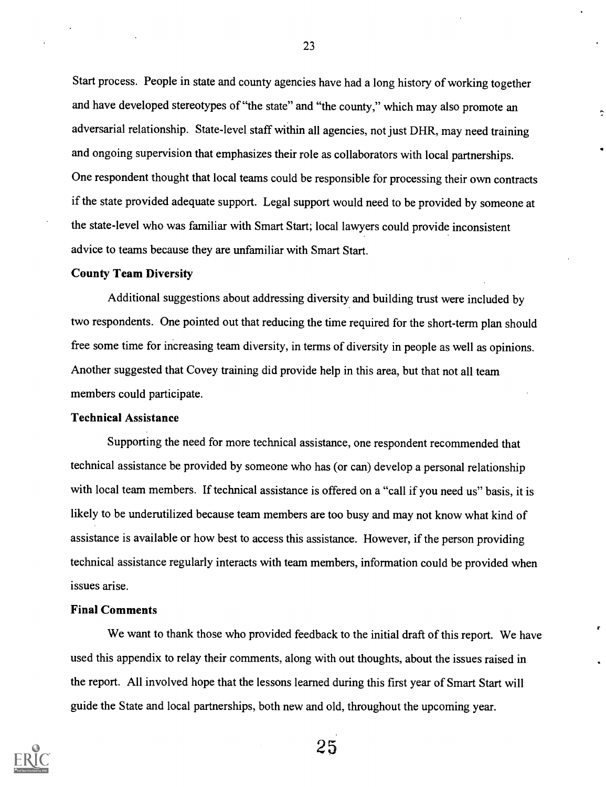Start process. People in state and county agencies have had a long history of working together and have developed stereotypes of "the state" and "the county," which may also promote an adversarial relationship. State-level staff within all agencies, not just DHR, may need training and ongoing supervision that emphasizes their role as collaborators with local partnerships. One respondent thought that local teams could be responsible for processing their own contracts if the state provided adequate support. Legal support would need to be provided by someone at the state-level who was familiar with Smart Start; local lawyers could provide inconsistent advice to teams because they are unfamiliar with Smart Start.

#### County Team Diversity

Additional suggestions about addressing diversity and building trust were included by two respondents. One pointed out that reducing the time required for the short-term plan should free some time for increasing team diversity, in terms of diversity in people as well as opinions. Another suggested that Covey training did provide help in this area, but that not all team members could participate.

#### Technical Assistance

Supporting the need for more technical assistance, one respondent recommended that technical assistance be provided by someone who has (or can) develop a personal relationship with local team members. If technical assistance is offered on a "call if you need us" basis, it is likely to be underutilized because team members are too busy and may not know what kind of assistance is available or how best to access this assistance. However, if the person providing technical assistance regularly interacts with team members, information could be provided when issues arise.

#### Final Comments

We want to thank those who provided feedback to the initial draft of this report. We have used this appendix to relay their comments, along with out thoughts, about the issues raised in the report. All involved hope that the lessons learned during this first year of Smart Start will guide the State and local partnerships, both new and old, throughout the upcoming year.



23